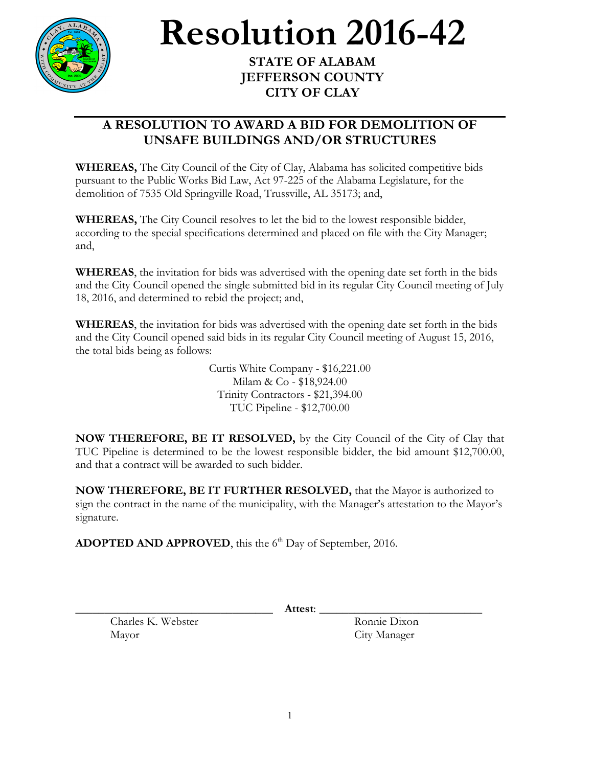

## **Resolution** 2016-42

**JEFFERSON COUNTY CITY OF CLAY**

## **A RESOLUTION TO AWARD A BID FOR DEMOLITION OF UNSAFE BUILDINGS AND/OR STRUCTURES**

**WHEREAS,** The City Council of the City of Clay, Alabama has solicited competitive bids pursuant to the Public Works Bid Law, Act 97-225 of the Alabama Legislature, for the demolition of 7535 Old Springville Road, Trussville, AL 35173; and,

**WHEREAS,** The City Council resolves to let the bid to the lowest responsible bidder, according to the special specifications determined and placed on file with the City Manager; and,

**WHEREAS**, the invitation for bids was advertised with the opening date set forth in the bids and the City Council opened the single submitted bid in its regular City Council meeting of July 18, 2016, and determined to rebid the project; and,

**WHEREAS**, the invitation for bids was advertised with the opening date set forth in the bids and the City Council opened said bids in its regular City Council meeting of August 15, 2016, the total bids being as follows:

> Curtis White Company - \$16,221.00 Milam & Co - \$18,924.00 Trinity Contractors - \$21,394.00 TUC Pipeline - \$12,700.00

**NOW THEREFORE, BE IT RESOLVED,** by the City Council of the City of Clay that TUC Pipeline is determined to be the lowest responsible bidder, the bid amount \$12,700.00, and that a contract will be awarded to such bidder.

**NOW THEREFORE, BE IT FURTHER RESOLVED,** that the Mayor is authorized to sign the contract in the name of the municipality, with the Manager's attestation to the Mayor's signature.

ADOPTED AND APPROVED, this the 6<sup>th</sup> Day of September, 2016.

Charles K. Webster Ronnie Dixon Mayor City Manager

\_\_\_\_\_\_\_\_\_\_\_\_\_\_\_\_\_\_\_\_\_\_\_\_\_\_\_\_\_\_\_\_\_\_ **Attest**: \_\_\_\_\_\_\_\_\_\_\_\_\_\_\_\_\_\_\_\_\_\_\_\_\_\_\_\_